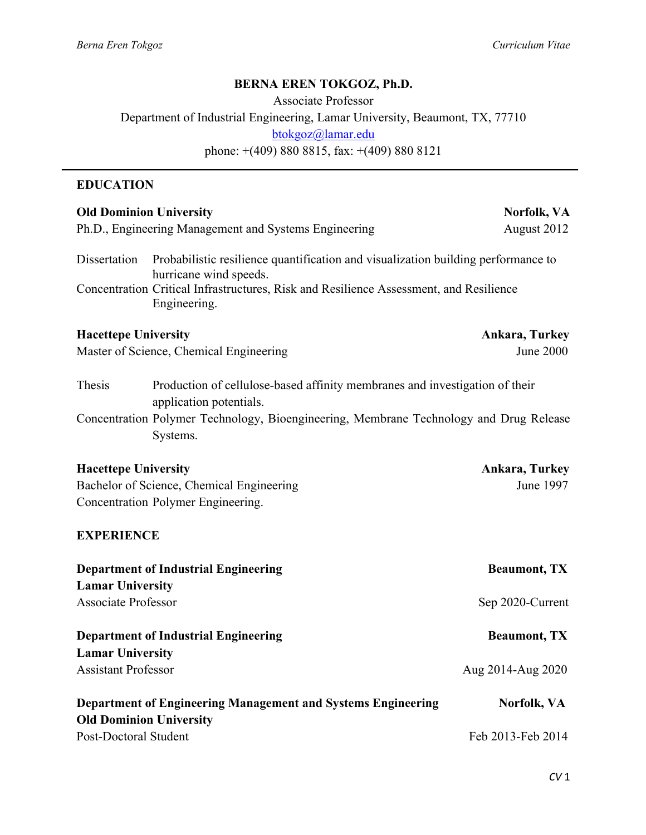# **BERNA EREN TOKGOZ, Ph.D.**

Associate Professor Department of Industrial Engineering, Lamar University, Beaumont, TX, 77710 btokgoz@lamar.edu phone: +(409) 880 8815, fax: +(409) 880 8121

### **EDUCATION**

| <b>Old Dominion University</b><br>Norfolk, VA                                                          |                                                                                   |  |  |
|--------------------------------------------------------------------------------------------------------|-----------------------------------------------------------------------------------|--|--|
| Ph.D., Engineering Management and Systems Engineering                                                  | August 2012                                                                       |  |  |
| Dissertation<br>hurricane wind speeds.                                                                 | Probabilistic resilience quantification and visualization building performance to |  |  |
| Concentration Critical Infrastructures, Risk and Resilience Assessment, and Resilience<br>Engineering. |                                                                                   |  |  |
| <b>Hacettepe University</b>                                                                            | <b>Ankara, Turkey</b>                                                             |  |  |
| Master of Science, Chemical Engineering                                                                | June 2000                                                                         |  |  |
| Thesis<br>application potentials.                                                                      | Production of cellulose-based affinity membranes and investigation of their       |  |  |
| Concentration Polymer Technology, Bioengineering, Membrane Technology and Drug Release<br>Systems.     |                                                                                   |  |  |
| <b>Hacettepe University</b>                                                                            | Ankara, Turkey                                                                    |  |  |
| Bachelor of Science, Chemical Engineering                                                              | June 1997                                                                         |  |  |
| Concentration Polymer Engineering.                                                                     |                                                                                   |  |  |
| <b>EXPERIENCE</b>                                                                                      |                                                                                   |  |  |
| <b>Department of Industrial Engineering</b>                                                            | <b>Beaumont, TX</b>                                                               |  |  |
| <b>Lamar University</b>                                                                                |                                                                                   |  |  |
| <b>Associate Professor</b>                                                                             | Sep 2020-Current                                                                  |  |  |
| <b>Department of Industrial Engineering</b>                                                            | <b>Beaumont, TX</b>                                                               |  |  |
| <b>Lamar University</b>                                                                                |                                                                                   |  |  |
| <b>Assistant Professor</b>                                                                             | Aug 2014-Aug 2020                                                                 |  |  |
| <b>Department of Engineering Management and Systems Engineering</b><br><b>Old Dominion University</b>  | Norfolk, VA                                                                       |  |  |
| <b>Post-Doctoral Student</b><br>Feb 2013-Feb 2014                                                      |                                                                                   |  |  |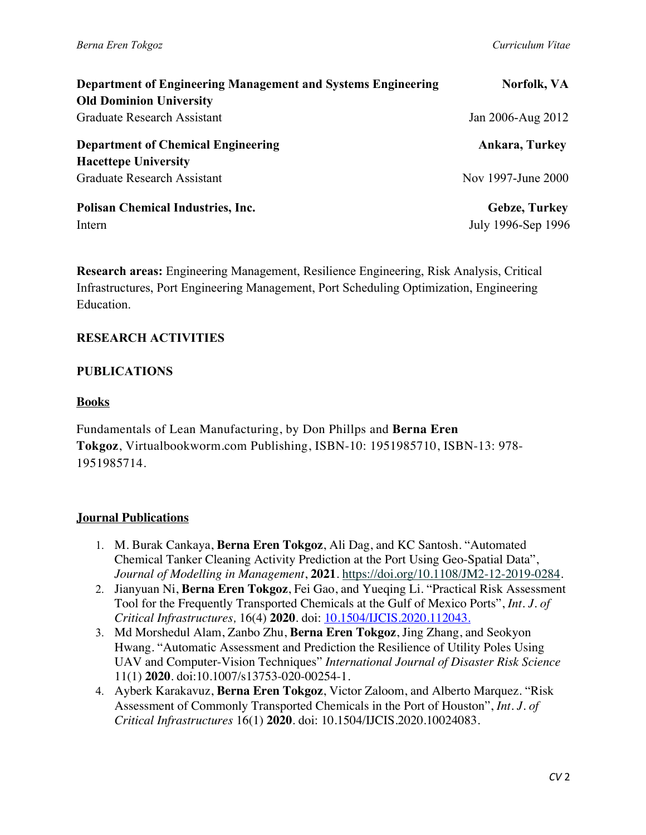| Department of Engineering Management and Systems Engineering | Norfolk, VA          |  |
|--------------------------------------------------------------|----------------------|--|
| <b>Old Dominion University</b>                               |                      |  |
| Graduate Research Assistant                                  | Jan 2006-Aug 2012    |  |
| <b>Department of Chemical Engineering</b>                    | Ankara, Turkey       |  |
| <b>Hacettepe University</b>                                  |                      |  |
| <b>Graduate Research Assistant</b>                           | Nov 1997-June 2000   |  |
| <b>Polisan Chemical Industries, Inc.</b>                     | <b>Gebze, Turkey</b> |  |
| Intern                                                       | July 1996-Sep 1996   |  |

**Research areas:** Engineering Management, Resilience Engineering, Risk Analysis, Critical Infrastructures, Port Engineering Management, Port Scheduling Optimization, Engineering Education.

#### **RESEARCH ACTIVITIES**

#### **PUBLICATIONS**

#### **Books**

Fundamentals of Lean Manufacturing, by Don Phillps and **Berna Eren Tokgoz**, Virtualbookworm.com Publishing, ISBN-10: 1951985710, ISBN-13: 978- 1951985714.

#### **Journal Publications**

- 1. M. Burak Cankaya, **Berna Eren Tokgoz**, Ali Dag, and KC Santosh. "Automated Chemical Tanker Cleaning Activity Prediction at the Port Using Geo-Spatial Data", *Journal of Modelling in Management*, **2021**. https://doi.org/10.1108/JM2-12-2019-0284.
- 2. Jianyuan Ni, **Berna Eren Tokgoz**, Fei Gao, and Yueqing Li. "Practical Risk Assessment Tool for the Frequently Transported Chemicals at the Gulf of Mexico Ports", *Int. J. of Critical Infrastructures,* 16(4) **2020**. doi: 10.1504/IJCIS.2020.112043.
- 3. Md Morshedul Alam, Zanbo Zhu, **Berna Eren Tokgoz**, Jing Zhang, and Seokyon Hwang. "Automatic Assessment and Prediction the Resilience of Utility Poles Using UAV and Computer-Vision Techniques" *International Journal of Disaster Risk Science*  11(1) **2020**. doi:10.1007/s13753-020-00254-1.
- 4. Ayberk Karakavuz, **Berna Eren Tokgoz**, Victor Zaloom, and Alberto Marquez. "Risk Assessment of Commonly Transported Chemicals in the Port of Houston", *Int. J. of Critical Infrastructures* 16(1) **2020**. doi: 10.1504/IJCIS.2020.10024083.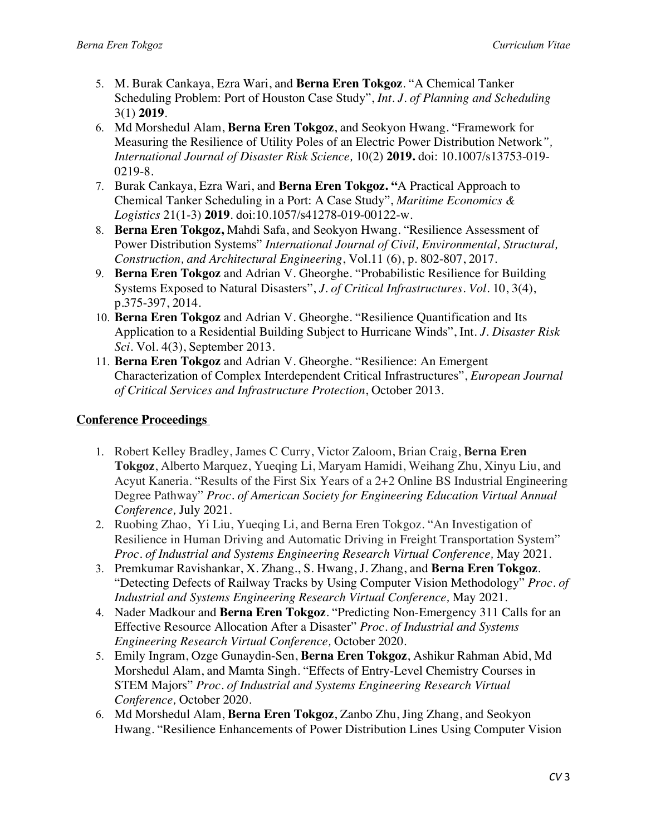- 5. M. Burak Cankaya, Ezra Wari, and **Berna Eren Tokgoz**. "A Chemical Tanker Scheduling Problem: Port of Houston Case Study", *Int. J. of Planning and Scheduling*  3(1) **2019**.
- 6. Md Morshedul Alam, **Berna Eren Tokgoz**, and Seokyon Hwang. "Framework for Measuring the Resilience of Utility Poles of an Electric Power Distribution Network*", International Journal of Disaster Risk Science,* 10(2) **2019.** doi: 10.1007/s13753-019- 0219-8.
- 7. Burak Cankaya, Ezra Wari, and **Berna Eren Tokgoz. "**A Practical Approach to Chemical Tanker Scheduling in a Port: A Case Study", *Maritime Economics & Logistics* 21(1-3) **2019**. doi:10.1057/s41278-019-00122-w.
- 8. **Berna Eren Tokgoz,** Mahdi Safa, and Seokyon Hwang. "Resilience Assessment of Power Distribution Systems" *International Journal of Civil, Environmental, Structural, Construction, and Architectural Engineering*, Vol.11 (6), p. 802-807, 2017.
- 9. **Berna Eren Tokgoz** and Adrian V. Gheorghe. "Probabilistic Resilience for Building Systems Exposed to Natural Disasters", *J. of Critical Infrastructures. Vol*. 10, 3(4), p.375-397, 2014.
- 10. **Berna Eren Tokgoz** and Adrian V. Gheorghe. "Resilience Quantification and Its Application to a Residential Building Subject to Hurricane Winds", Int. *J. Disaster Risk Sci*. Vol. 4(3), September 2013.
- 11. **Berna Eren Tokgoz** and Adrian V. Gheorghe. "Resilience: An Emergent Characterization of Complex Interdependent Critical Infrastructures", *European Journal of Critical Services and Infrastructure Protection*, October 2013.

### **Conference Proceedings**

- 1. Robert Kelley Bradley, James C Curry, Victor Zaloom, Brian Craig, **Berna Eren Tokgoz**, Alberto Marquez, Yueqing Li, Maryam Hamidi, Weihang Zhu, Xinyu Liu, and Acyut Kaneria. "Results of the First Six Years of a 2+2 Online BS Industrial Engineering Degree Pathway" *Proc. of American Society for Engineering Education Virtual Annual Conference,* July 2021.
- 2. Ruobing Zhao, Yi Liu, Yueqing Li, and Berna Eren Tokgoz. "An Investigation of Resilience in Human Driving and Automatic Driving in Freight Transportation System" *Proc. of Industrial and Systems Engineering Research Virtual Conference,* May 2021.
- 3. Premkumar Ravishankar, X. Zhang., S. Hwang, J. Zhang, and **Berna Eren Tokgoz**. "Detecting Defects of Railway Tracks by Using Computer Vision Methodology" *Proc. of Industrial and Systems Engineering Research Virtual Conference,* May 2021.
- 4. Nader Madkour and **Berna Eren Tokgoz**. "Predicting Non-Emergency 311 Calls for an Effective Resource Allocation After a Disaster" *Proc. of Industrial and Systems Engineering Research Virtual Conference,* October 2020.
- 5. Emily Ingram, Ozge Gunaydin-Sen, **Berna Eren Tokgoz**, Ashikur Rahman Abid, Md Morshedul Alam, and Mamta Singh. "Effects of Entry-Level Chemistry Courses in STEM Majors" *Proc. of Industrial and Systems Engineering Research Virtual Conference,* October 2020.
- 6. Md Morshedul Alam, **Berna Eren Tokgoz**, Zanbo Zhu, Jing Zhang, and Seokyon Hwang. "Resilience Enhancements of Power Distribution Lines Using Computer Vision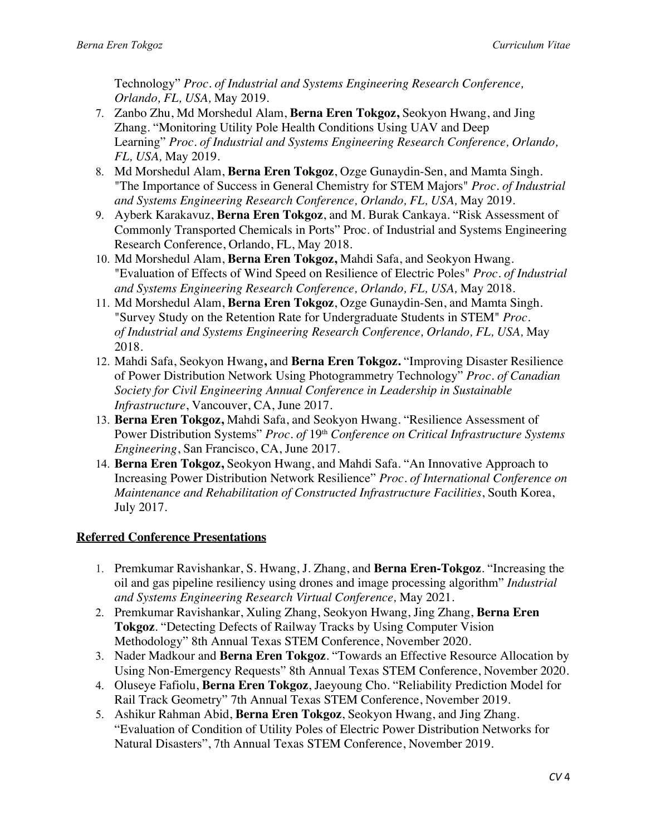Technology" *Proc. of Industrial and Systems Engineering Research Conference, Orlando, FL, USA,* May 2019.

- 7. Zanbo Zhu, Md Morshedul Alam, **Berna Eren Tokgoz,** Seokyon Hwang, and Jing Zhang. "Monitoring Utility Pole Health Conditions Using UAV and Deep Learning" *Proc. of Industrial and Systems Engineering Research Conference, Orlando, FL, USA,* May 2019.
- 8. Md Morshedul Alam, **Berna Eren Tokgoz**, Ozge Gunaydin-Sen, and Mamta Singh. "The Importance of Success in General Chemistry for STEM Majors" *Proc. of Industrial and Systems Engineering Research Conference, Orlando, FL, USA,* May 2019.
- 9. Ayberk Karakavuz, **Berna Eren Tokgoz**, and M. Burak Cankaya. "Risk Assessment of Commonly Transported Chemicals in Ports" Proc. of Industrial and Systems Engineering Research Conference, Orlando, FL, May 2018.
- 10. Md Morshedul Alam, **Berna Eren Tokgoz,** Mahdi Safa, and Seokyon Hwang. "Evaluation of Effects of Wind Speed on Resilience of Electric Poles" *Proc. of Industrial and Systems Engineering Research Conference, Orlando, FL, USA,* May 2018.
- 11. Md Morshedul Alam, **Berna Eren Tokgoz**, Ozge Gunaydin-Sen, and Mamta Singh. "Survey Study on the Retention Rate for Undergraduate Students in STEM" *Proc. of Industrial and Systems Engineering Research Conference, Orlando, FL, USA,* May 2018.
- 12. Mahdi Safa, Seokyon Hwang**,** and **Berna Eren Tokgoz.** "Improving Disaster Resilience of Power Distribution Network Using Photogrammetry Technology" *Proc. of Canadian Society for Civil Engineering Annual Conference in Leadership in Sustainable Infrastructure*, Vancouver, CA, June 2017.
- 13. **Berna Eren Tokgoz,** Mahdi Safa, and Seokyon Hwang. "Resilience Assessment of Power Distribution Systems" *Proc. of* 19<sup>th</sup> *Conference on Critical Infrastructure Systems Engineering*, San Francisco, CA, June 2017.
- 14. **Berna Eren Tokgoz,** Seokyon Hwang, and Mahdi Safa. "An Innovative Approach to Increasing Power Distribution Network Resilience" *Proc. of International Conference on Maintenance and Rehabilitation of Constructed Infrastructure Facilities*, South Korea, July 2017.

# **Referred Conference Presentations**

- 1. Premkumar Ravishankar, S. Hwang, J. Zhang, and **Berna Eren-Tokgoz**. "Increasing the oil and gas pipeline resiliency using drones and image processing algorithm" *Industrial and Systems Engineering Research Virtual Conference,* May 2021.
- 2. Premkumar Ravishankar, Xuling Zhang, Seokyon Hwang, Jing Zhang, **Berna Eren Tokgoz**. "Detecting Defects of Railway Tracks by Using Computer Vision Methodology" 8th Annual Texas STEM Conference, November 2020.
- 3. Nader Madkour and **Berna Eren Tokgoz**. "Towards an Effective Resource Allocation by Using Non-Emergency Requests" 8th Annual Texas STEM Conference, November 2020.
- 4. Oluseye Fafiolu, **Berna Eren Tokgoz**, Jaeyoung Cho. "Reliability Prediction Model for Rail Track Geometry" 7th Annual Texas STEM Conference, November 2019.
- 5. Ashikur Rahman Abid, **Berna Eren Tokgoz**, Seokyon Hwang, and Jing Zhang. "Evaluation of Condition of Utility Poles of Electric Power Distribution Networks for Natural Disasters", 7th Annual Texas STEM Conference, November 2019.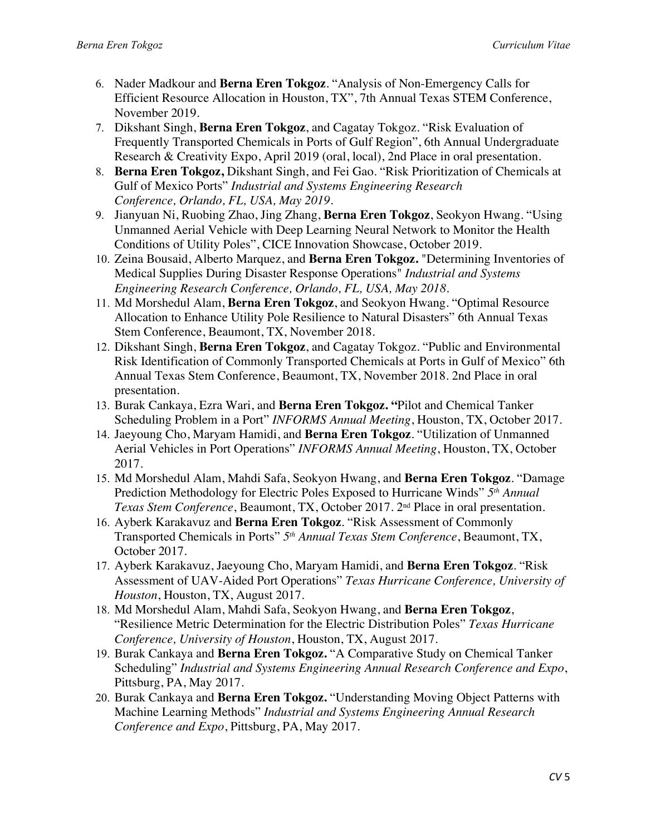- 6. Nader Madkour and **Berna Eren Tokgoz**. "Analysis of Non-Emergency Calls for Efficient Resource Allocation in Houston, TX", 7th Annual Texas STEM Conference, November 2019.
- 7. Dikshant Singh, **Berna Eren Tokgoz**, and Cagatay Tokgoz. "Risk Evaluation of Frequently Transported Chemicals in Ports of Gulf Region", 6th Annual Undergraduate Research & Creativity Expo, April 2019 (oral, local), 2nd Place in oral presentation.
- 8. **Berna Eren Tokgoz,** Dikshant Singh, and Fei Gao. "Risk Prioritization of Chemicals at Gulf of Mexico Ports" *Industrial and Systems Engineering Research Conference, Orlando, FL, USA, May 2019.*
- 9. Jianyuan Ni, Ruobing Zhao, Jing Zhang, **Berna Eren Tokgoz**, Seokyon Hwang. "Using Unmanned Aerial Vehicle with Deep Learning Neural Network to Monitor the Health Conditions of Utility Poles", CICE Innovation Showcase, October 2019.
- 10. Zeina Bousaid, Alberto Marquez, and **Berna Eren Tokgoz.** "Determining Inventories of Medical Supplies During Disaster Response Operations" *Industrial and Systems Engineering Research Conference, Orlando, FL, USA, May 2018.*
- 11. Md Morshedul Alam, **Berna Eren Tokgoz**, and Seokyon Hwang. "Optimal Resource Allocation to Enhance Utility Pole Resilience to Natural Disasters" 6th Annual Texas Stem Conference, Beaumont, TX, November 2018.
- 12. Dikshant Singh, **Berna Eren Tokgoz**, and Cagatay Tokgoz. "Public and Environmental Risk Identification of Commonly Transported Chemicals at Ports in Gulf of Mexico" 6th Annual Texas Stem Conference, Beaumont, TX, November 2018. 2nd Place in oral presentation.
- 13. Burak Cankaya, Ezra Wari, and **Berna Eren Tokgoz. "**Pilot and Chemical Tanker Scheduling Problem in a Port" *INFORMS Annual Meeting*, Houston, TX, October 2017.
- 14. Jaeyoung Cho, Maryam Hamidi, and **Berna Eren Tokgoz**. "Utilization of Unmanned Aerial Vehicles in Port Operations" *INFORMS Annual Meeting*, Houston, TX, October 2017.
- 15. Md Morshedul Alam, Mahdi Safa, Seokyon Hwang, and **Berna Eren Tokgoz**. "Damage Prediction Methodology for Electric Poles Exposed to Hurricane Winds" *5th Annual Texas Stem Conference*, Beaumont, TX, October 2017. 2nd Place in oral presentation.
- 16. Ayberk Karakavuz and **Berna Eren Tokgoz**. "Risk Assessment of Commonly Transported Chemicals in Ports" *5th Annual Texas Stem Conference*, Beaumont, TX, October 2017.
- 17. Ayberk Karakavuz, Jaeyoung Cho, Maryam Hamidi, and **Berna Eren Tokgoz**. "Risk Assessment of UAV-Aided Port Operations" *Texas Hurricane Conference, University of Houston*, Houston, TX, August 2017.
- 18. Md Morshedul Alam, Mahdi Safa, Seokyon Hwang, and **Berna Eren Tokgoz**, "Resilience Metric Determination for the Electric Distribution Poles" *Texas Hurricane Conference, University of Houston*, Houston, TX, August 2017.
- 19. Burak Cankaya and **Berna Eren Tokgoz.** "A Comparative Study on Chemical Tanker Scheduling" *Industrial and Systems Engineering Annual Research Conference and Expo*, Pittsburg, PA, May 2017.
- 20. Burak Cankaya and **Berna Eren Tokgoz.** "Understanding Moving Object Patterns with Machine Learning Methods" *Industrial and Systems Engineering Annual Research Conference and Expo*, Pittsburg, PA, May 2017.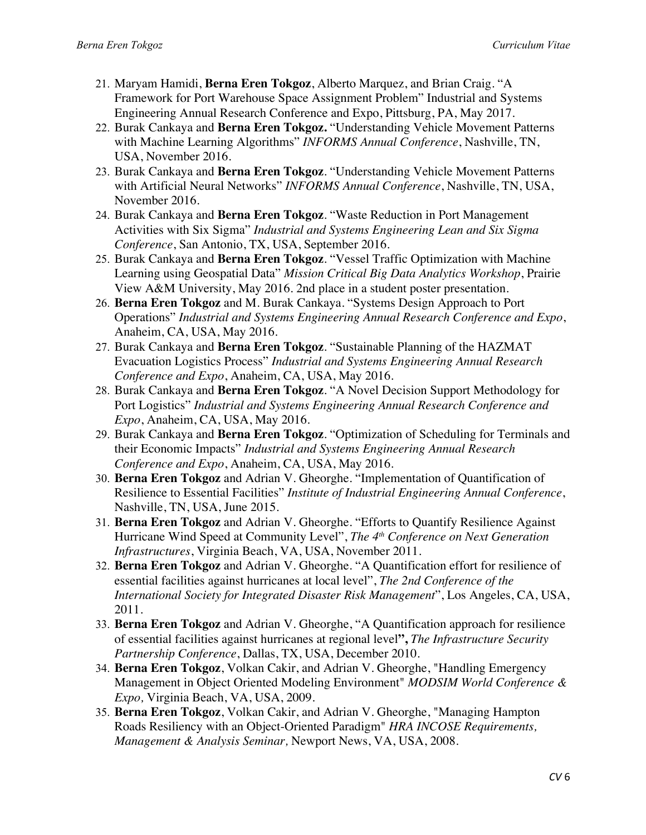- 21. Maryam Hamidi, **Berna Eren Tokgoz**, Alberto Marquez, and Brian Craig. "A Framework for Port Warehouse Space Assignment Problem" Industrial and Systems Engineering Annual Research Conference and Expo, Pittsburg, PA, May 2017.
- 22. Burak Cankaya and **Berna Eren Tokgoz.** "Understanding Vehicle Movement Patterns with Machine Learning Algorithms" *INFORMS Annual Conference*, Nashville, TN, USA, November 2016.
- 23. Burak Cankaya and **Berna Eren Tokgoz**. "Understanding Vehicle Movement Patterns with Artificial Neural Networks" *INFORMS Annual Conference*, Nashville, TN, USA, November 2016.
- 24. Burak Cankaya and **Berna Eren Tokgoz**. "Waste Reduction in Port Management Activities with Six Sigma" *Industrial and Systems Engineering Lean and Six Sigma Conference*, San Antonio, TX, USA, September 2016.
- 25. Burak Cankaya and **Berna Eren Tokgoz**. "Vessel Traffic Optimization with Machine Learning using Geospatial Data" *Mission Critical Big Data Analytics Workshop*, Prairie View A&M University, May 2016. 2nd place in a student poster presentation.
- 26. **Berna Eren Tokgoz** and M. Burak Cankaya. "Systems Design Approach to Port Operations" *Industrial and Systems Engineering Annual Research Conference and Expo*, Anaheim, CA, USA, May 2016.
- 27. Burak Cankaya and **Berna Eren Tokgoz**. "Sustainable Planning of the HAZMAT Evacuation Logistics Process" *Industrial and Systems Engineering Annual Research Conference and Expo*, Anaheim, CA, USA, May 2016.
- 28. Burak Cankaya and **Berna Eren Tokgoz**. "A Novel Decision Support Methodology for Port Logistics" *Industrial and Systems Engineering Annual Research Conference and Expo*, Anaheim, CA, USA, May 2016.
- 29. Burak Cankaya and **Berna Eren Tokgoz**. "Optimization of Scheduling for Terminals and their Economic Impacts" *Industrial and Systems Engineering Annual Research Conference and Expo*, Anaheim, CA, USA, May 2016.
- 30. **Berna Eren Tokgoz** and Adrian V. Gheorghe. "Implementation of Quantification of Resilience to Essential Facilities" *Institute of Industrial Engineering Annual Conference*, Nashville, TN, USA, June 2015.
- 31. **Berna Eren Tokgoz** and Adrian V. Gheorghe. "Efforts to Quantify Resilience Against Hurricane Wind Speed at Community Level", *The 4th Conference on Next Generation Infrastructures*, Virginia Beach, VA, USA, November 2011.
- 32. **Berna Eren Tokgoz** and Adrian V. Gheorghe. "A Quantification effort for resilience of essential facilities against hurricanes at local level", *The 2nd Conference of the International Society for Integrated Disaster Risk Management*", Los Angeles, CA, USA, 2011.
- 33. **Berna Eren Tokgoz** and Adrian V. Gheorghe, "A Quantification approach for resilience of essential facilities against hurricanes at regional level**",** *The Infrastructure Security Partnership Conference*, Dallas, TX, USA, December 2010.
- 34. **Berna Eren Tokgoz**, Volkan Cakir, and Adrian V. Gheorghe, "Handling Emergency Management in Object Oriented Modeling Environment" *MODSIM World Conference & Expo,* Virginia Beach, VA, USA, 2009.
- 35. **Berna Eren Tokgoz**, Volkan Cakir, and Adrian V. Gheorghe, "Managing Hampton Roads Resiliency with an Object-Oriented Paradigm" *HRA INCOSE Requirements, Management & Analysis Seminar,* Newport News, VA, USA, 2008.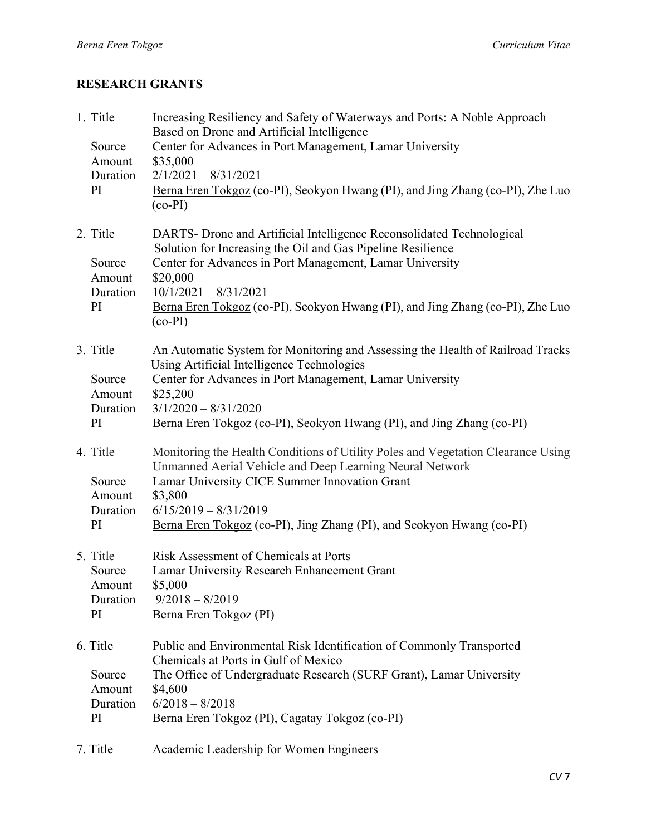# **RESEARCH GRANTS**

| 1. Title<br>Source<br>Amount<br>Duration<br>PI | Increasing Resiliency and Safety of Waterways and Ports: A Noble Approach<br>Based on Drone and Artificial Intelligence<br>Center for Advances in Port Management, Lamar University<br>\$35,000<br>$2/1/2021 - 8/31/2021$<br>Berna Eren Tokgoz (co-PI), Seokyon Hwang (PI), and Jing Zhang (co-PI), Zhe Luo<br>$(co-PI)$               |
|------------------------------------------------|----------------------------------------------------------------------------------------------------------------------------------------------------------------------------------------------------------------------------------------------------------------------------------------------------------------------------------------|
| 2. Title<br>Source<br>Amount<br>Duration<br>PI | DARTS- Drone and Artificial Intelligence Reconsolidated Technological<br>Solution for Increasing the Oil and Gas Pipeline Resilience<br>Center for Advances in Port Management, Lamar University<br>\$20,000<br>$10/1/2021 - 8/31/2021$<br>Berna Eren Tokgoz (co-PI), Seokyon Hwang (PI), and Jing Zhang (co-PI), Zhe Luo<br>$(co-PI)$ |
| 3. Title<br>Source<br>Amount<br>Duration<br>PI | An Automatic System for Monitoring and Assessing the Health of Railroad Tracks<br>Using Artificial Intelligence Technologies<br>Center for Advances in Port Management, Lamar University<br>\$25,200<br>$3/1/2020 - 8/31/2020$<br>Berna Eren Tokgoz (co-PI), Seokyon Hwang (PI), and Jing Zhang (co-PI)                                |
| 4. Title<br>Source<br>Amount<br>Duration<br>PI | Monitoring the Health Conditions of Utility Poles and Vegetation Clearance Using<br>Unmanned Aerial Vehicle and Deep Learning Neural Network<br>Lamar University CICE Summer Innovation Grant<br>\$3,800<br>$6/15/2019 - 8/31/2019$<br>Berna Eren Tokgoz (co-PI), Jing Zhang (PI), and Seokyon Hwang (co-PI)                           |
| 5. Title<br>Source<br>Amount<br>Duration<br>PI | Risk Assessment of Chemicals at Ports<br>Lamar University Research Enhancement Grant<br>\$5,000<br>$9/2018 - 8/2019$<br>Berna Eren Tokgoz (PI)                                                                                                                                                                                         |
| 6. Title<br>Source<br>Amount<br>Duration<br>PI | Public and Environmental Risk Identification of Commonly Transported<br>Chemicals at Ports in Gulf of Mexico<br>The Office of Undergraduate Research (SURF Grant), Lamar University<br>\$4,600<br>$6/2018 - 8/2018$<br>Berna Eren Tokgoz (PI), Cagatay Tokgoz (co-PI)                                                                  |
| 7. Title                                       | Academic Leadership for Women Engineers                                                                                                                                                                                                                                                                                                |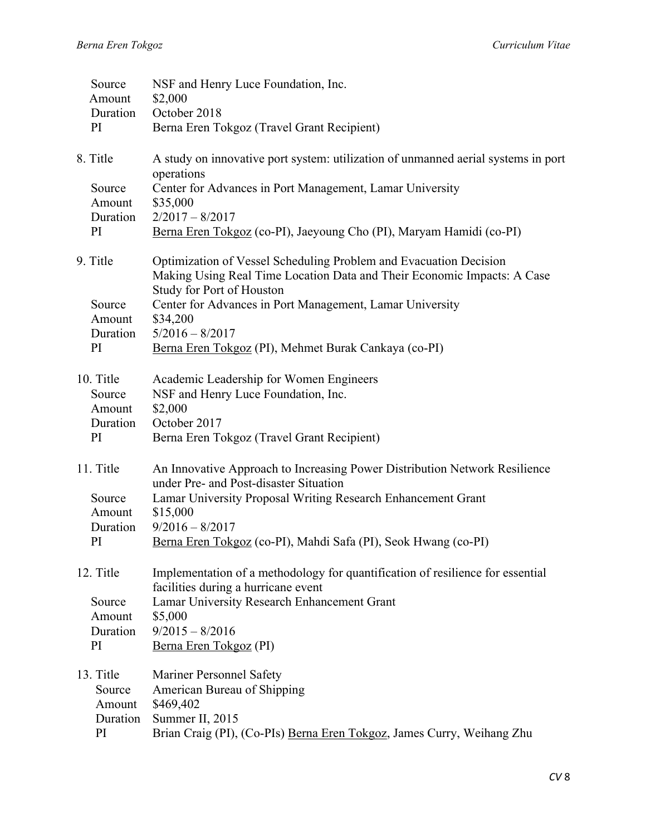|  | Source<br>Amount<br>Duration             | NSF and Henry Luce Foundation, Inc.<br>\$2,000<br>October 2018                                                                                                                                                                        |
|--|------------------------------------------|---------------------------------------------------------------------------------------------------------------------------------------------------------------------------------------------------------------------------------------|
|  | PI                                       | Berna Eren Tokgoz (Travel Grant Recipient)                                                                                                                                                                                            |
|  | 8. Title<br>Source<br>Amount<br>Duration | A study on innovative port system: utilization of unmanned aerial systems in port<br>operations<br>Center for Advances in Port Management, Lamar University<br>\$35,000<br>$2/2017 - 8/2017$                                          |
|  | PI                                       | Berna Eren Tokgoz (co-PI), Jaeyoung Cho (PI), Maryam Hamidi (co-PI)                                                                                                                                                                   |
|  | 9. Title<br>Source                       | Optimization of Vessel Scheduling Problem and Evacuation Decision<br>Making Using Real Time Location Data and Their Economic Impacts: A Case<br>Study for Port of Houston<br>Center for Advances in Port Management, Lamar University |
|  | Amount                                   | \$34,200                                                                                                                                                                                                                              |
|  | Duration                                 | $5/2016 - 8/2017$                                                                                                                                                                                                                     |
|  | PI                                       | Berna Eren Tokgoz (PI), Mehmet Burak Cankaya (co-PI)                                                                                                                                                                                  |
|  | 10. Title<br>Source<br>Amount            | Academic Leadership for Women Engineers<br>NSF and Henry Luce Foundation, Inc.<br>\$2,000                                                                                                                                             |
|  | Duration                                 | October 2017                                                                                                                                                                                                                          |
|  | PI                                       | Berna Eren Tokgoz (Travel Grant Recipient)                                                                                                                                                                                            |
|  | 11. Title                                | An Innovative Approach to Increasing Power Distribution Network Resilience<br>under Pre- and Post-disaster Situation                                                                                                                  |
|  | Source<br>Amount                         | Lamar University Proposal Writing Research Enhancement Grant<br>\$15,000                                                                                                                                                              |
|  | Duration                                 | $9/2016 - 8/2017$                                                                                                                                                                                                                     |
|  | PI                                       | Berna Eren Tokgoz (co-PI), Mahdi Safa (PI), Seok Hwang (co-PI)                                                                                                                                                                        |
|  | 12. Title                                | Implementation of a methodology for quantification of resilience for essential<br>facilities during a hurricane event                                                                                                                 |
|  | Source                                   | Lamar University Research Enhancement Grant                                                                                                                                                                                           |
|  | Amount<br>Duration                       | \$5,000<br>$9/2015 - 8/2016$                                                                                                                                                                                                          |
|  | PI                                       | Berna Eren Tokgoz (PI)                                                                                                                                                                                                                |
|  |                                          |                                                                                                                                                                                                                                       |
|  | 13. Title                                | Mariner Personnel Safety                                                                                                                                                                                                              |
|  | Source<br>Amount                         | American Bureau of Shipping<br>\$469,402                                                                                                                                                                                              |
|  | Duration                                 | Summer II, 2015                                                                                                                                                                                                                       |
|  | PI                                       | Brian Craig (PI), (Co-PIs) Berna Eren Tokgoz, James Curry, Weihang Zhu                                                                                                                                                                |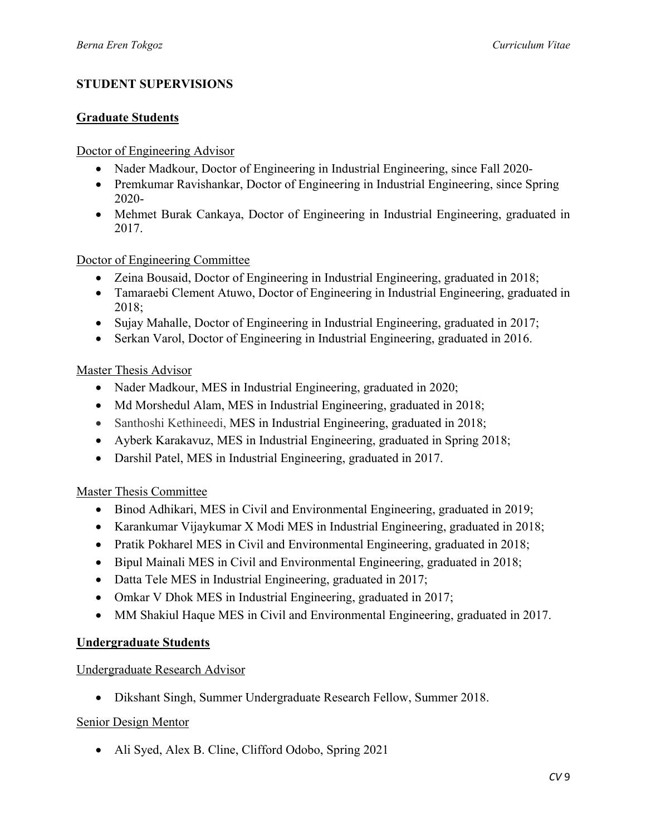### **STUDENT SUPERVISIONS**

#### **Graduate Students**

#### Doctor of Engineering Advisor

- Nader Madkour, Doctor of Engineering in Industrial Engineering, since Fall 2020-
- Premkumar Ravishankar, Doctor of Engineering in Industrial Engineering, since Spring 2020-
- Mehmet Burak Cankaya, Doctor of Engineering in Industrial Engineering, graduated in 2017.

#### Doctor of Engineering Committee

- Zeina Bousaid, Doctor of Engineering in Industrial Engineering, graduated in 2018;
- Tamaraebi Clement Atuwo, Doctor of Engineering in Industrial Engineering, graduated in 2018;
- Sujay Mahalle, Doctor of Engineering in Industrial Engineering, graduated in 2017;
- Serkan Varol, Doctor of Engineering in Industrial Engineering, graduated in 2016.

#### Master Thesis Advisor

- Nader Madkour, MES in Industrial Engineering, graduated in 2020;
- Md Morshedul Alam, MES in Industrial Engineering, graduated in 2018;
- Santhoshi Kethineedi, MES in Industrial Engineering, graduated in 2018;
- Ayberk Karakavuz, MES in Industrial Engineering, graduated in Spring 2018;
- Darshil Patel, MES in Industrial Engineering, graduated in 2017.

### Master Thesis Committee

- Binod Adhikari, MES in Civil and Environmental Engineering, graduated in 2019;
- Karankumar Vijaykumar X Modi MES in Industrial Engineering, graduated in 2018;
- Pratik Pokharel MES in Civil and Environmental Engineering, graduated in 2018;
- Bipul Mainali MES in Civil and Environmental Engineering, graduated in 2018;
- Datta Tele MES in Industrial Engineering, graduated in 2017;
- Omkar V Dhok MES in Industrial Engineering, graduated in 2017;
- MM Shakiul Haque MES in Civil and Environmental Engineering, graduated in 2017.

### **Undergraduate Students**

### Undergraduate Research Advisor

• Dikshant Singh, Summer Undergraduate Research Fellow, Summer 2018.

### Senior Design Mentor

• Ali Syed, Alex B. Cline, Clifford Odobo, Spring 2021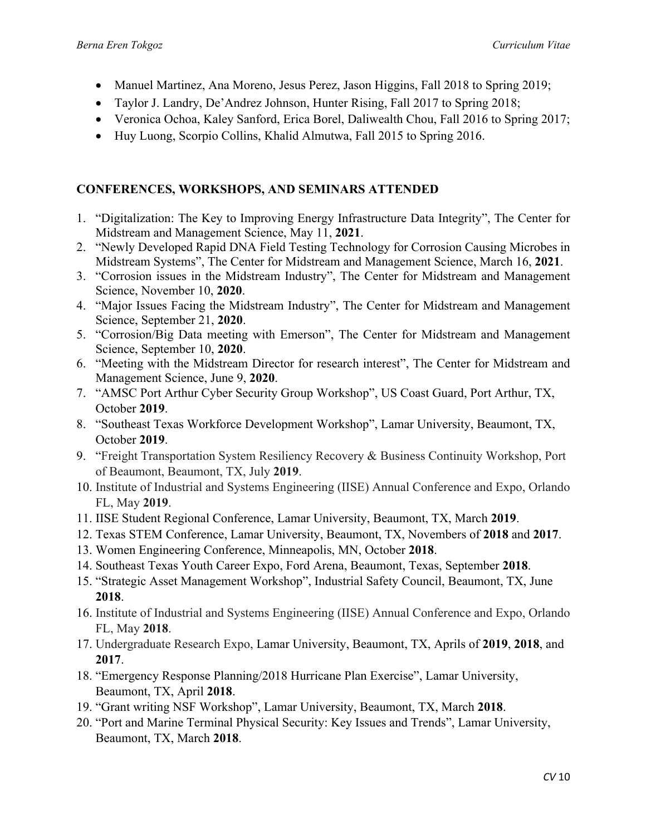- Manuel Martinez, Ana Moreno, Jesus Perez, Jason Higgins, Fall 2018 to Spring 2019;
- Taylor J. Landry, De'Andrez Johnson, Hunter Rising, Fall 2017 to Spring 2018;
- Veronica Ochoa, Kaley Sanford, Erica Borel, Daliwealth Chou, Fall 2016 to Spring 2017;
- Huy Luong, Scorpio Collins, Khalid Almutwa, Fall 2015 to Spring 2016.

### **CONFERENCES, WORKSHOPS, AND SEMINARS ATTENDED**

- 1. "Digitalization: The Key to Improving Energy Infrastructure Data Integrity", The Center for Midstream and Management Science, May 11, **2021**.
- 2. "Newly Developed Rapid DNA Field Testing Technology for Corrosion Causing Microbes in Midstream Systems", The Center for Midstream and Management Science, March 16, **2021**.
- 3. "Corrosion issues in the Midstream Industry", The Center for Midstream and Management Science, November 10, **2020**.
- 4. "Major Issues Facing the Midstream Industry", The Center for Midstream and Management Science, September 21, **2020**.
- 5. "Corrosion/Big Data meeting with Emerson", The Center for Midstream and Management Science, September 10, **2020**.
- 6. "Meeting with the Midstream Director for research interest", The Center for Midstream and Management Science, June 9, **2020**.
- 7. "AMSC Port Arthur Cyber Security Group Workshop", US Coast Guard, Port Arthur, TX, October **2019**.
- 8. "Southeast Texas Workforce Development Workshop", Lamar University, Beaumont, TX, October **2019**.
- 9. "Freight Transportation System Resiliency Recovery & Business Continuity Workshop, Port of Beaumont, Beaumont, TX, July **2019**.
- 10. Institute of Industrial and Systems Engineering (IISE) Annual Conference and Expo, Orlando FL, May **2019**.
- 11. IISE Student Regional Conference, Lamar University, Beaumont, TX, March **2019**.
- 12. Texas STEM Conference, Lamar University, Beaumont, TX, Novembers of **2018** and **2017**.
- 13. Women Engineering Conference, Minneapolis, MN, October **2018**.
- 14. Southeast Texas Youth Career Expo, Ford Arena, Beaumont, Texas, September **2018**.
- 15. "Strategic Asset Management Workshop", Industrial Safety Council, Beaumont, TX, June **2018**.
- 16. Institute of Industrial and Systems Engineering (IISE) Annual Conference and Expo, Orlando FL, May **2018**.
- 17. Undergraduate Research Expo, Lamar University, Beaumont, TX, Aprils of **2019**, **2018**, and **2017**.
- 18. "Emergency Response Planning/2018 Hurricane Plan Exercise", Lamar University, Beaumont, TX, April **2018**.
- 19. "Grant writing NSF Workshop", Lamar University, Beaumont, TX, March **2018**.
- 20. "Port and Marine Terminal Physical Security: Key Issues and Trends", Lamar University, Beaumont, TX, March **2018**.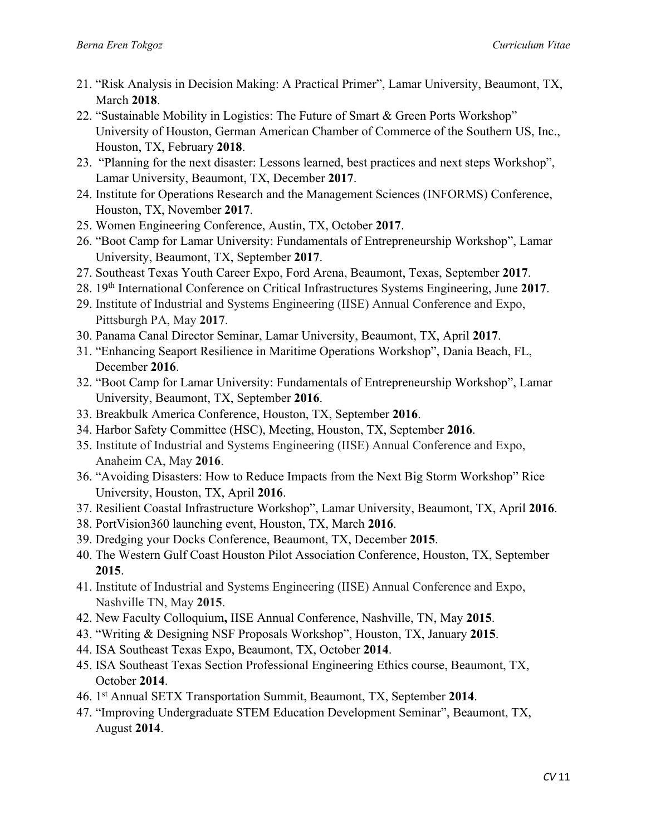- 21. "Risk Analysis in Decision Making: A Practical Primer", Lamar University, Beaumont, TX, March **2018**.
- 22. "Sustainable Mobility in Logistics: The Future of Smart & Green Ports Workshop" University of Houston, German American Chamber of Commerce of the Southern US, Inc., Houston, TX, February **2018**.
- 23. "Planning for the next disaster: Lessons learned, best practices and next steps Workshop", Lamar University, Beaumont, TX, December **2017**.
- 24. Institute for Operations Research and the Management Sciences (INFORMS) Conference, Houston, TX, November **2017**.
- 25. Women Engineering Conference, Austin, TX, October **2017**.
- 26. "Boot Camp for Lamar University: Fundamentals of Entrepreneurship Workshop", Lamar University, Beaumont, TX, September **2017**.
- 27. Southeast Texas Youth Career Expo, Ford Arena, Beaumont, Texas, September **2017**.
- 28. 19th International Conference on Critical Infrastructures Systems Engineering, June **2017**.
- 29. Institute of Industrial and Systems Engineering (IISE) Annual Conference and Expo, Pittsburgh PA, May **2017**.
- 30. Panama Canal Director Seminar, Lamar University, Beaumont, TX, April **2017**.
- 31. "Enhancing Seaport Resilience in Maritime Operations Workshop", Dania Beach, FL, December **2016**.
- 32. "Boot Camp for Lamar University: Fundamentals of Entrepreneurship Workshop", Lamar University, Beaumont, TX, September **2016**.
- 33. Breakbulk America Conference, Houston, TX, September **2016**.
- 34. Harbor Safety Committee (HSC), Meeting, Houston, TX, September **2016**.
- 35. Institute of Industrial and Systems Engineering (IISE) Annual Conference and Expo, Anaheim CA, May **2016**.
- 36. "Avoiding Disasters: How to Reduce Impacts from the Next Big Storm Workshop" Rice University, Houston, TX, April **2016**.
- 37. Resilient Coastal Infrastructure Workshop", Lamar University, Beaumont, TX, April **2016**.
- 38. PortVision360 launching event, Houston, TX, March **2016**.
- 39. Dredging your Docks Conference, Beaumont, TX, December **2015**.
- 40. The Western Gulf Coast Houston Pilot Association Conference, Houston, TX, September **2015**.
- 41. Institute of Industrial and Systems Engineering (IISE) Annual Conference and Expo, Nashville TN, May **2015**.
- 42. New Faculty Colloquium**,** IISE Annual Conference, Nashville, TN, May **2015**.
- 43. "Writing & Designing NSF Proposals Workshop", Houston, TX, January **2015**.
- 44. ISA Southeast Texas Expo, Beaumont, TX, October **2014**.
- 45. ISA Southeast Texas Section Professional Engineering Ethics course, Beaumont, TX, October **2014**.
- 46. 1st Annual SETX Transportation Summit, Beaumont, TX, September **2014**.
- 47. "Improving Undergraduate STEM Education Development Seminar", Beaumont, TX, August **2014**.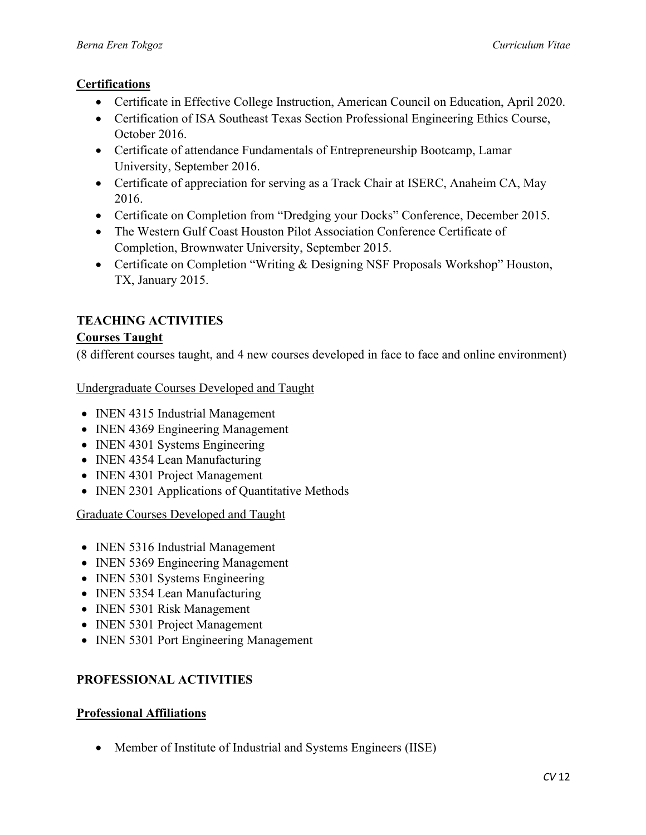### **Certifications**

- Certificate in Effective College Instruction, American Council on Education, April 2020.
- Certification of ISA Southeast Texas Section Professional Engineering Ethics Course, October 2016.
- Certificate of attendance Fundamentals of Entrepreneurship Bootcamp, Lamar University, September 2016.
- Certificate of appreciation for serving as a Track Chair at ISERC, Anaheim CA, May 2016.
- Certificate on Completion from "Dredging your Docks" Conference, December 2015.
- The Western Gulf Coast Houston Pilot Association Conference Certificate of Completion, Brownwater University, September 2015.
- Certificate on Completion "Writing & Designing NSF Proposals Workshop" Houston, TX, January 2015.

# **TEACHING ACTIVITIES**

### **Courses Taught**

(8 different courses taught, and 4 new courses developed in face to face and online environment)

Undergraduate Courses Developed and Taught

- INEN 4315 Industrial Management
- INEN 4369 Engineering Management
- INEN 4301 Systems Engineering
- INEN 4354 Lean Manufacturing
- **INEN 4301 Project Management**
- INEN 2301 Applications of Quantitative Methods

### Graduate Courses Developed and Taught

- INEN 5316 Industrial Management
- INEN 5369 Engineering Management
- INEN 5301 Systems Engineering
- INEN 5354 Lean Manufacturing
- INEN 5301 Risk Management
- INEN 5301 Project Management
- **INEN 5301 Port Engineering Management**

### **PROFESSIONAL ACTIVITIES**

### **Professional Affiliations**

• Member of Institute of Industrial and Systems Engineers (IISE)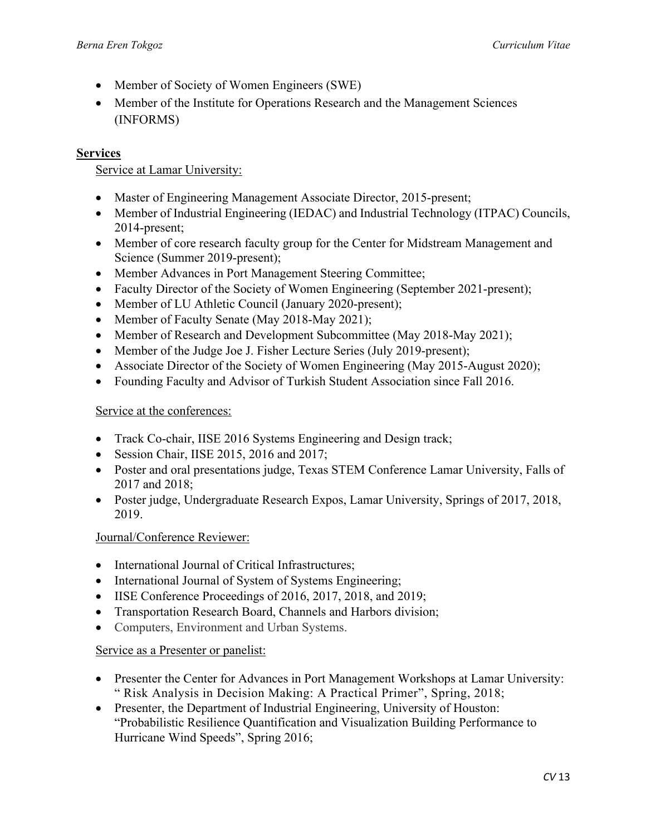- Member of Society of Women Engineers (SWE)
- Member of the Institute for Operations Research and the Management Sciences (INFORMS)

### **Services**

#### Service at Lamar University:

- Master of Engineering Management Associate Director, 2015-present;
- Member of Industrial Engineering (IEDAC) and Industrial Technology (ITPAC) Councils, 2014-present;
- Member of core research faculty group for the Center for Midstream Management and Science (Summer 2019-present);
- Member Advances in Port Management Steering Committee;
- Faculty Director of the Society of Women Engineering (September 2021-present);
- Member of LU Athletic Council (January 2020-present);
- Member of Faculty Senate (May 2018-May 2021);
- Member of Research and Development Subcommittee (May 2018-May 2021);
- Member of the Judge Joe J. Fisher Lecture Series (July 2019-present);
- Associate Director of the Society of Women Engineering (May 2015-August 2020);
- Founding Faculty and Advisor of Turkish Student Association since Fall 2016.

#### Service at the conferences:

- Track Co-chair, IISE 2016 Systems Engineering and Design track;
- Session Chair, IISE 2015, 2016 and 2017;
- Poster and oral presentations judge, Texas STEM Conference Lamar University, Falls of 2017 and 2018;
- Poster judge, Undergraduate Research Expos, Lamar University, Springs of 2017, 2018, 2019.

#### Journal/Conference Reviewer:

- International Journal of Critical Infrastructures:
- International Journal of System of Systems Engineering;
- IISE Conference Proceedings of 2016, 2017, 2018, and 2019;
- Transportation Research Board, Channels and Harbors division;
- Computers, Environment and Urban Systems.

#### Service as a Presenter or panelist:

- Presenter the Center for Advances in Port Management Workshops at Lamar University: " Risk Analysis in Decision Making: A Practical Primer", Spring, 2018;
- Presenter, the Department of Industrial Engineering, University of Houston: "Probabilistic Resilience Quantification and Visualization Building Performance to Hurricane Wind Speeds", Spring 2016;